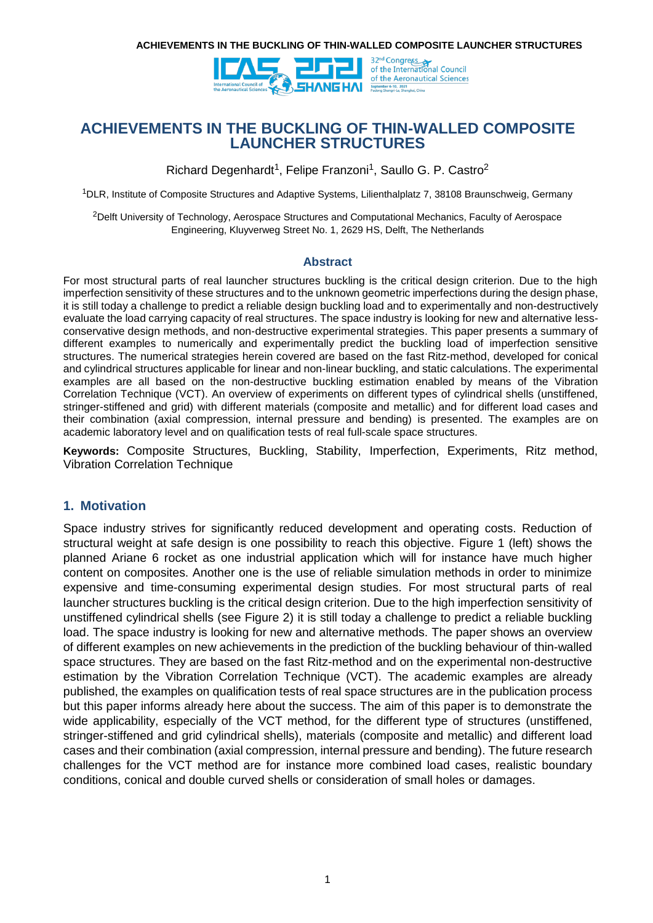

**ACHIEVEMENTS IN THE BUCKLING OF THIN-WALLED COMPOSITE LAUNCHER STRUCTURES**

Richard Degenhardt<sup>1</sup>, Felipe Franzoni<sup>1</sup>, Saullo G. P. Castro<sup>2</sup>

<sup>1</sup>DLR, Institute of Composite Structures and Adaptive Systems, Lilienthalplatz 7, 38108 Braunschweig, Germany

<sup>2</sup>Delft University of Technology, Aerospace Structures and Computational Mechanics, Faculty of Aerospace Engineering, Kluyverweg Street No. 1, 2629 HS, Delft, The Netherlands

### **Abstract**

For most structural parts of real launcher structures buckling is the critical design criterion. Due to the high imperfection sensitivity of these structures and to the unknown geometric imperfections during the design phase, it is still today a challenge to predict a reliable design buckling load and to experimentally and non-destructively evaluate the load carrying capacity of real structures. The space industry is looking for new and alternative lessconservative design methods, and non-destructive experimental strategies. This paper presents a summary of different examples to numerically and experimentally predict the buckling load of imperfection sensitive structures. The numerical strategies herein covered are based on the fast Ritz-method, developed for conical and cylindrical structures applicable for linear and non-linear buckling, and static calculations. The experimental examples are all based on the non-destructive buckling estimation enabled by means of the Vibration Correlation Technique (VCT). An overview of experiments on different types of cylindrical shells (unstiffened, stringer-stiffened and grid) with different materials (composite and metallic) and for different load cases and their combination (axial compression, internal pressure and bending) is presented. The examples are on academic laboratory level and on qualification tests of real full-scale space structures.

**Keywords:** Composite Structures, Buckling, Stability, Imperfection, Experiments, Ritz method, Vibration Correlation Technique

### **1. Motivation**

Space industry strives for significantly reduced development and operating costs. Reduction of structural weight at safe design is one possibility to reach this objective. Figure 1 (left) shows the planned Ariane 6 rocket as one industrial application which will for instance have much higher content on composites. Another one is the use of reliable simulation methods in order to minimize expensive and time-consuming experimental design studies. For most structural parts of real launcher structures buckling is the critical design criterion. Due to the high imperfection sensitivity of unstiffened cylindrical shells (see Figure 2) it is still today a challenge to predict a reliable buckling load. The space industry is looking for new and alternative methods. The paper shows an overview of different examples on new achievements in the prediction of the buckling behaviour of thin-walled space structures. They are based on the fast Ritz-method and on the experimental non-destructive estimation by the Vibration Correlation Technique (VCT). The academic examples are already published, the examples on qualification tests of real space structures are in the publication process but this paper informs already here about the success. The aim of this paper is to demonstrate the wide applicability, especially of the VCT method, for the different type of structures (unstiffened, stringer-stiffened and grid cylindrical shells), materials (composite and metallic) and different load cases and their combination (axial compression, internal pressure and bending). The future research challenges for the VCT method are for instance more combined load cases, realistic boundary conditions, conical and double curved shells or consideration of small holes or damages.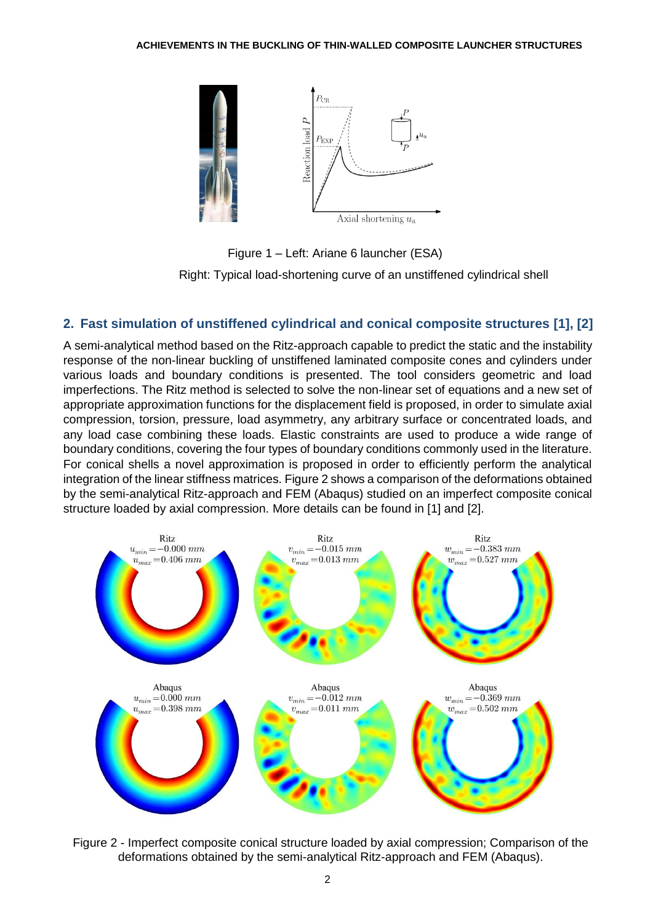

Figure 1 – Left: Ariane 6 launcher (ESA)

Right: Typical load-shortening curve of an unstiffened cylindrical shell

## **2. Fast simulation of unstiffened cylindrical and conical composite structures [1], [2]**

A semi-analytical method based on the Ritz-approach capable to predict the static and the instability response of the non-linear buckling of unstiffened laminated composite cones and cylinders under various loads and boundary conditions is presented. The tool considers geometric and load imperfections. The Ritz method is selected to solve the non-linear set of equations and a new set of appropriate approximation functions for the displacement field is proposed, in order to simulate axial compression, torsion, pressure, load asymmetry, any arbitrary surface or concentrated loads, and any load case combining these loads. Elastic constraints are used to produce a wide range of boundary conditions, covering the four types of boundary conditions commonly used in the literature. For conical shells a novel approximation is proposed in order to efficiently perform the analytical integration of the linear stiffness matrices. Figure 2 shows a comparison of the deformations obtained by the semi-analytical Ritz-approach and FEM (Abaqus) studied on an imperfect composite conical structure loaded by axial compression. More details can be found in [1] and [2].



Figure 2 - Imperfect composite conical structure loaded by axial compression; Comparison of the deformations obtained by the semi-analytical Ritz-approach and FEM (Abaqus).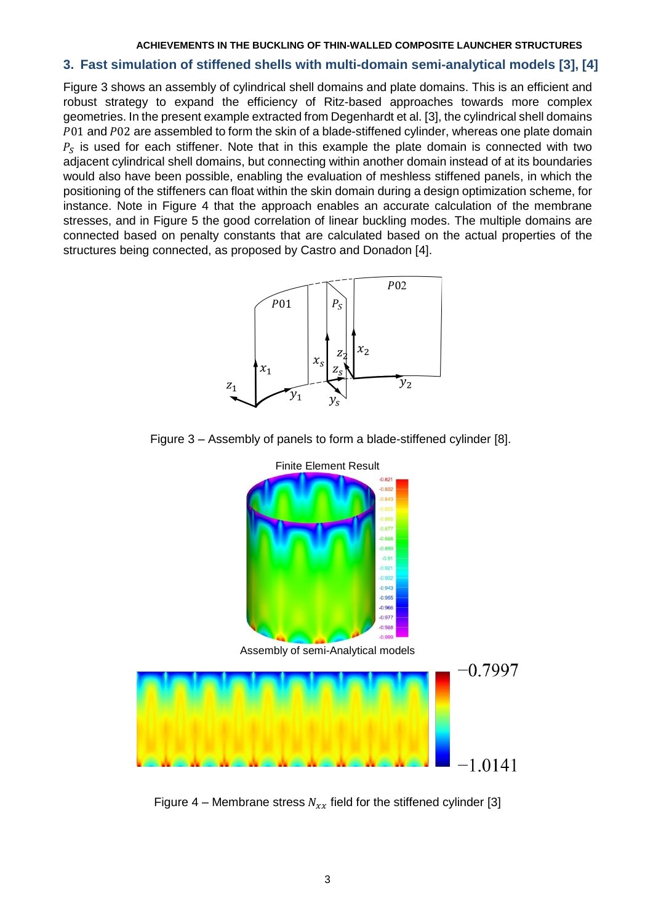### **3. Fast simulation of stiffened shells with multi-domain semi-analytical models [3], [4]**

Figure 3 shows an assembly of cylindrical shell domains and plate domains. This is an efficient and robust strategy to expand the efficiency of Ritz-based approaches towards more complex geometries. In the present example extracted from Degenhardt et al. [3], the cylindrical shell domains P01 and P02 are assembled to form the skin of a blade-stiffened cylinder, whereas one plate domain  $P_S$  is used for each stiffener. Note that in this example the plate domain is connected with two adjacent cylindrical shell domains, but connecting within another domain instead of at its boundaries would also have been possible, enabling the evaluation of meshless stiffened panels, in which the positioning of the stiffeners can float within the skin domain during a design optimization scheme, for instance. Note in Figure 4 that the approach enables an accurate calculation of the membrane stresses, and in Figure 5 the good correlation of linear buckling modes. The multiple domains are connected based on penalty constants that are calculated based on the actual properties of the structures being connected, as proposed by Castro and Donadon [4].



Figure 3 – Assembly of panels to form a blade-stiffened cylinder [8].



Figure 4 – Membrane stress  $N_{xx}$  field for the stiffened cylinder [3]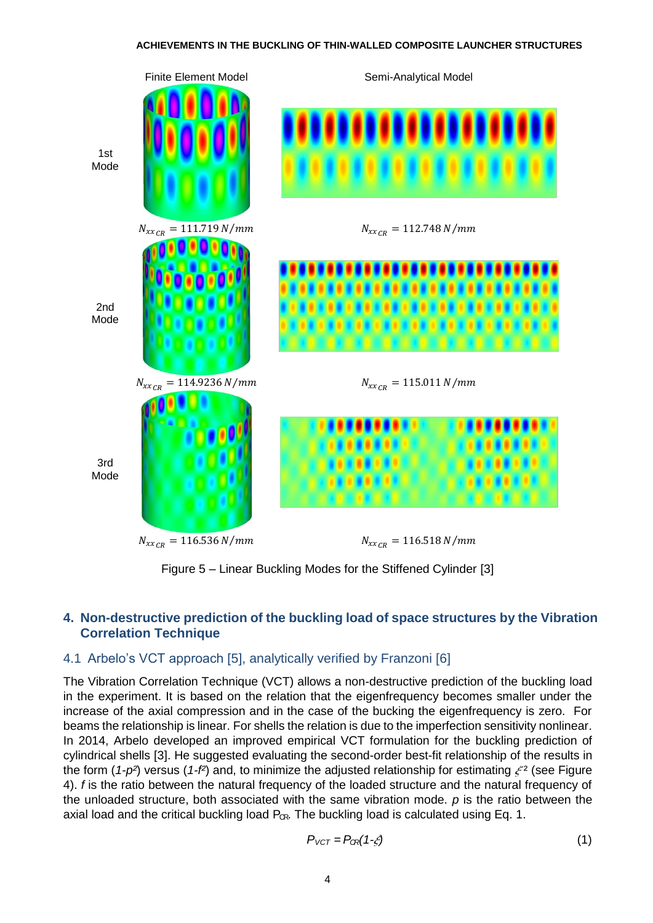

Figure 5 – Linear Buckling Modes for the Stiffened Cylinder [3]

# **4. Non-destructive prediction of the buckling load of space structures by the Vibration Correlation Technique**

## 4.1 Arbelo's VCT approach [5], analytically verified by Franzoni [6]

The Vibration Correlation Technique (VCT) allows a non-destructive prediction of the buckling load in the experiment. It is based on the relation that the eigenfrequency becomes smaller under the increase of the axial compression and in the case of the bucking the eigenfrequency is zero. For beams the relationship is linear. For shells the relation is due to the imperfection sensitivity nonlinear. In 2014, Arbelo developed an improved empirical VCT formulation for the buckling prediction of cylindrical shells [3]. He suggested evaluating the second-order best-fit relationship of the results in the form ( $1-p^2$ ) versus ( $1-f^2$ ) and, to minimize the adjusted relationship for estimating  $\zeta^2$  (see Figure 4). *f* is the ratio between the natural frequency of the loaded structure and the natural frequency of the unloaded structure, both associated with the same vibration mode. *p* is the ratio between the axial load and the critical buckling load  $P_{CR}$ . The buckling load is calculated using Eq. 1.

$$
P_{VCT} = P_{CR}(1-\xi) \tag{1}
$$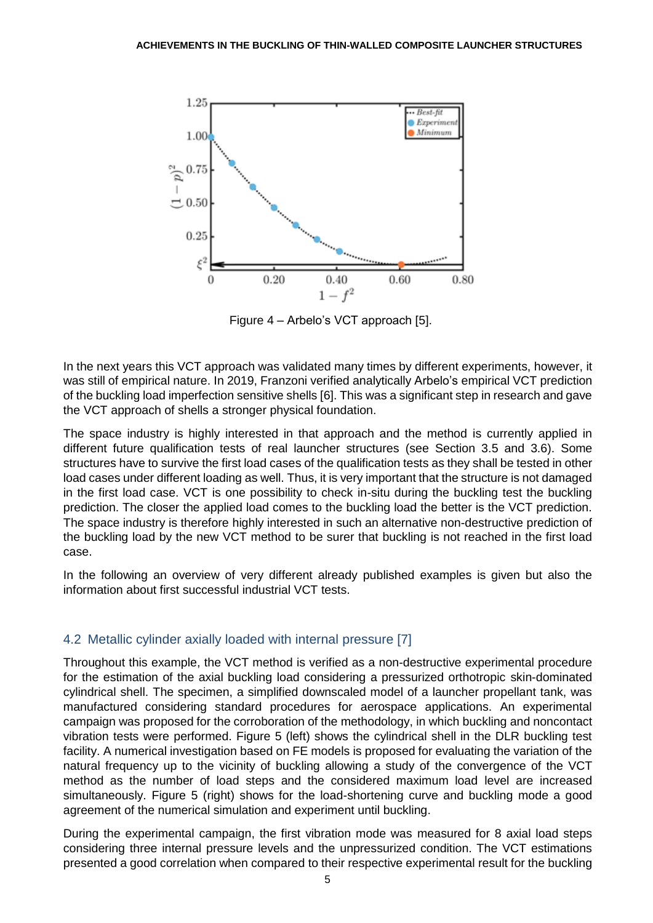

Figure 4 – Arbelo's VCT approach [5].

In the next years this VCT approach was validated many times by different experiments, however, it was still of empirical nature. In 2019, Franzoni verified analytically Arbelo's empirical VCT prediction of the buckling load imperfection sensitive shells [6]. This was a significant step in research and gave the VCT approach of shells a stronger physical foundation.

The space industry is highly interested in that approach and the method is currently applied in different future qualification tests of real launcher structures (see Section 3.5 and 3.6). Some structures have to survive the first load cases of the qualification tests as they shall be tested in other load cases under different loading as well. Thus, it is very important that the structure is not damaged in the first load case. VCT is one possibility to check in-situ during the buckling test the buckling prediction. The closer the applied load comes to the buckling load the better is the VCT prediction. The space industry is therefore highly interested in such an alternative non-destructive prediction of the buckling load by the new VCT method to be surer that buckling is not reached in the first load case.

In the following an overview of very different already published examples is given but also the information about first successful industrial VCT tests.

## 4.2 Metallic cylinder axially loaded with internal pressure [7]

Throughout this example, the VCT method is verified as a non-destructive experimental procedure for the estimation of the axial buckling load considering a pressurized orthotropic skin-dominated cylindrical shell. The specimen, a simplified downscaled model of a launcher propellant tank, was manufactured considering standard procedures for aerospace applications. An experimental campaign was proposed for the corroboration of the methodology, in which buckling and noncontact vibration tests were performed. Figure 5 (left) shows the cylindrical shell in the DLR buckling test facility. A numerical investigation based on FE models is proposed for evaluating the variation of the natural frequency up to the vicinity of buckling allowing a study of the convergence of the VCT method as the number of load steps and the considered maximum load level are increased simultaneously. Figure 5 (right) shows for the load-shortening curve and buckling mode a good agreement of the numerical simulation and experiment until buckling.

During the experimental campaign, the first vibration mode was measured for 8 axial load steps considering three internal pressure levels and the unpressurized condition. The VCT estimations presented a good correlation when compared to their respective experimental result for the buckling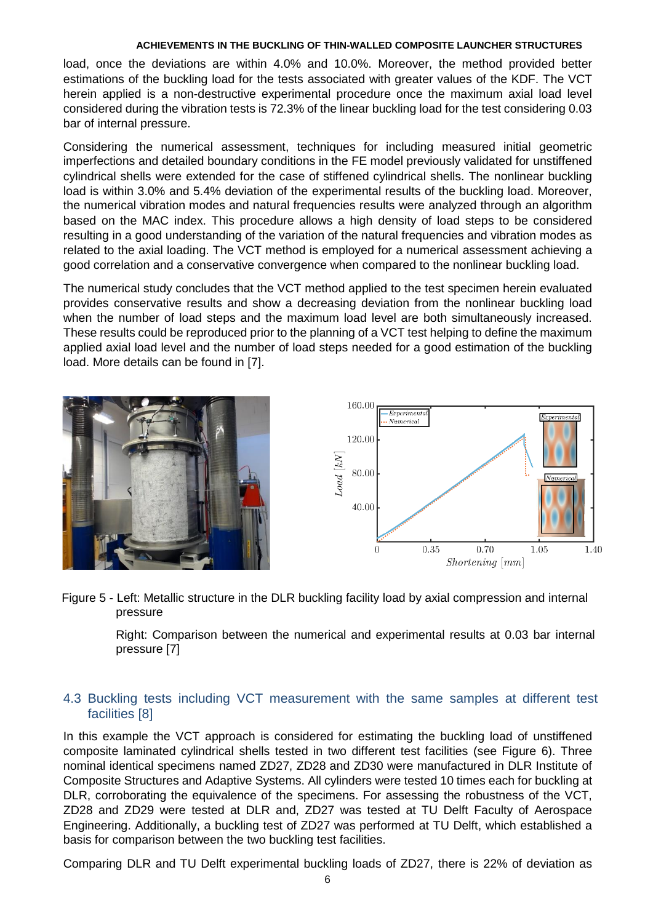load, once the deviations are within 4.0% and 10.0%. Moreover, the method provided better estimations of the buckling load for the tests associated with greater values of the KDF. The VCT herein applied is a non-destructive experimental procedure once the maximum axial load level considered during the vibration tests is 72.3% of the linear buckling load for the test considering 0.03 bar of internal pressure.

Considering the numerical assessment, techniques for including measured initial geometric imperfections and detailed boundary conditions in the FE model previously validated for unstiffened cylindrical shells were extended for the case of stiffened cylindrical shells. The nonlinear buckling load is within 3.0% and 5.4% deviation of the experimental results of the buckling load. Moreover, the numerical vibration modes and natural frequencies results were analyzed through an algorithm based on the MAC index. This procedure allows a high density of load steps to be considered resulting in a good understanding of the variation of the natural frequencies and vibration modes as related to the axial loading. The VCT method is employed for a numerical assessment achieving a good correlation and a conservative convergence when compared to the nonlinear buckling load.

The numerical study concludes that the VCT method applied to the test specimen herein evaluated provides conservative results and show a decreasing deviation from the nonlinear buckling load when the number of load steps and the maximum load level are both simultaneously increased. These results could be reproduced prior to the planning of a VCT test helping to define the maximum applied axial load level and the number of load steps needed for a good estimation of the buckling load. More details can be found in [7].





Figure 5 - Left: Metallic structure in the DLR buckling facility load by axial compression and internal pressure

> Right: Comparison between the numerical and experimental results at 0.03 bar internal pressure [7]

# 4.3 Buckling tests including VCT measurement with the same samples at different test facilities [8]

In this example the VCT approach is considered for estimating the buckling load of unstiffened composite laminated cylindrical shells tested in two different test facilities (see Figure 6). Three nominal identical specimens named ZD27, ZD28 and ZD30 were manufactured in DLR Institute of Composite Structures and Adaptive Systems. All cylinders were tested 10 times each for buckling at DLR, corroborating the equivalence of the specimens. For assessing the robustness of the VCT, ZD28 and ZD29 were tested at DLR and, ZD27 was tested at TU Delft Faculty of Aerospace Engineering. Additionally, a buckling test of ZD27 was performed at TU Delft, which established a basis for comparison between the two buckling test facilities.

Comparing DLR and TU Delft experimental buckling loads of ZD27, there is 22% of deviation as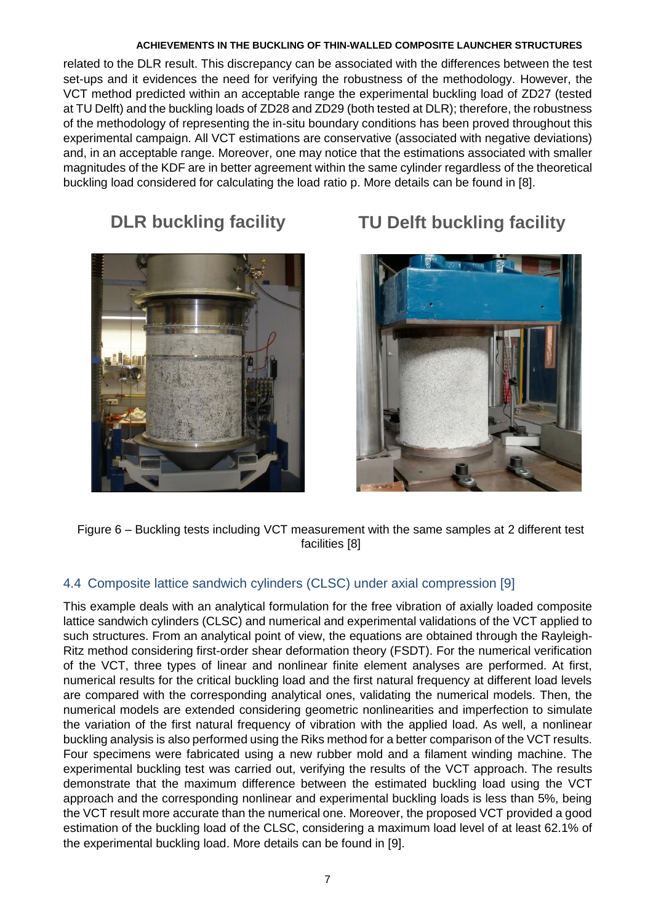related to the DLR result. This discrepancy can be associated with the differences between the test set-ups and it evidences the need for verifying the robustness of the methodology. However, the VCT method predicted within an acceptable range the experimental buckling load of ZD27 (tested at TU Delft) and the buckling loads of ZD28 and ZD29 (both tested at DLR); therefore, the robustness of the methodology of representing the in-situ boundary conditions has been proved throughout this experimental campaign. All VCT estimations are conservative (associated with negative deviations) and, in an acceptable range. Moreover, one may notice that the estimations associated with smaller magnitudes of the KDF are in better agreement within the same cylinder regardless of the theoretical buckling load considered for calculating the load ratio p. More details can be found in [8].





Figure 6 – Buckling tests including VCT measurement with the same samples at 2 different test facilities [8]

## 4.4 Composite lattice sandwich cylinders (CLSC) under axial compression [9]

This example deals with an analytical formulation for the free vibration of axially loaded composite lattice sandwich cylinders (CLSC) and numerical and experimental validations of the VCT applied to such structures. From an analytical point of view, the equations are obtained through the Rayleigh-Ritz method considering first-order shear deformation theory (FSDT). For the numerical verification of the VCT, three types of linear and nonlinear finite element analyses are performed. At first, numerical results for the critical buckling load and the first natural frequency at different load levels are compared with the corresponding analytical ones, validating the numerical models. Then, the numerical models are extended considering geometric nonlinearities and imperfection to simulate the variation of the first natural frequency of vibration with the applied load. As well, a nonlinear buckling analysis is also performed using the Riks method for a better comparison of the VCT results. Four specimens were fabricated using a new rubber mold and a filament winding machine. The experimental buckling test was carried out, verifying the results of the VCT approach. The results demonstrate that the maximum difference between the estimated buckling load using the VCT approach and the corresponding nonlinear and experimental buckling loads is less than 5%, being the VCT result more accurate than the numerical one. Moreover, the proposed VCT provided a good estimation of the buckling load of the CLSC, considering a maximum load level of at least 62.1% of TU Delft buckling facility<br>
TU Delft buckling facility<br>
Text of the experimental buckling and the experimental with the same samples at 2 different<br>
4.4 Composite lattice sample design with an analytical formulation for th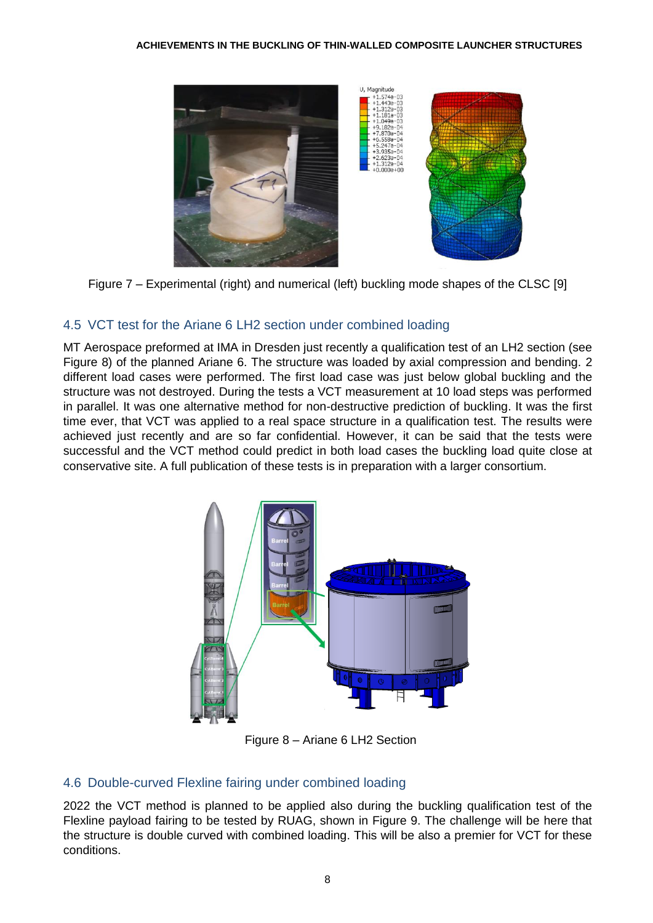

Figure 7 – Experimental (right) and numerical (left) buckling mode shapes of the CLSC [9]

## 4.5 VCT test for the Ariane 6 LH2 section under combined loading

MT Aerospace preformed at IMA in Dresden just recently a qualification test of an LH2 section (see Figure 8) of the planned Ariane 6. The structure was loaded by axial compression and bending. 2 different load cases were performed. The first load case was just below global buckling and the structure was not destroyed. During the tests a VCT measurement at 10 load steps was performed in parallel. It was one alternative method for non-destructive prediction of buckling. It was the first time ever, that VCT was applied to a real space structure in a qualification test. The results were achieved just recently and are so far confidential. However, it can be said that the tests were successful and the VCT method could predict in both load cases the buckling load quite close at conservative site. A full publication of these tests is in preparation with a larger consortium.



Figure 8 – Ariane 6 LH2 Section

## 4.6 Double-curved Flexline fairing under combined loading

2022 the VCT method is planned to be applied also during the buckling qualification test of the Flexline payload fairing to be tested by RUAG, shown in Figure 9. The challenge will be here that the structure is double curved with combined loading. This will be also a premier for VCT for these conditions.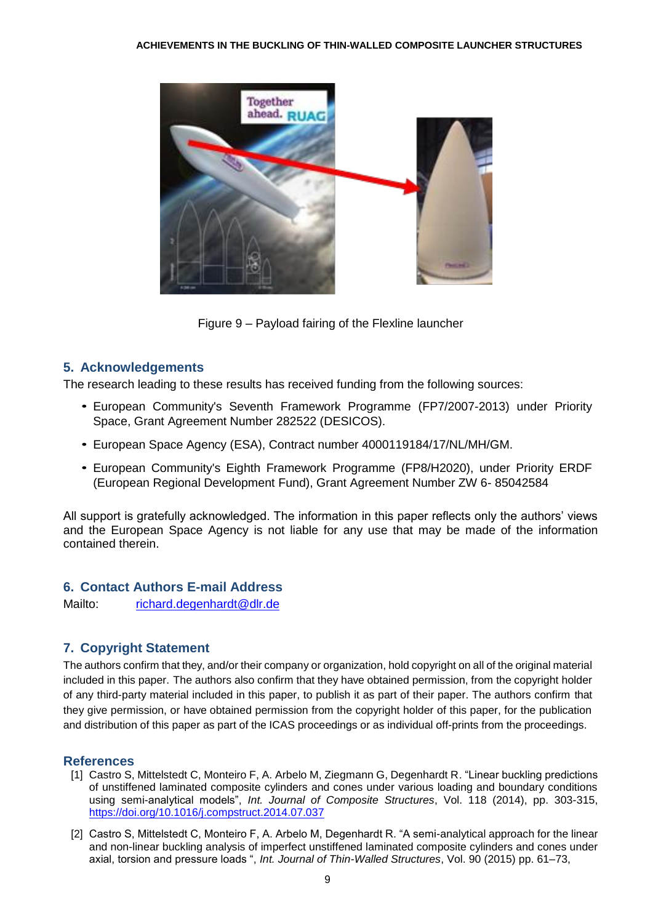

Figure 9 – Payload fairing of the Flexline launcher

### **5. Acknowledgements**

The research leading to these results has received funding from the following sources:

- European Community's Seventh Framework Programme (FP7/2007-2013) under Priority *•*Space, Grant Agreement Number 282522 (DESICOS).
- European Space Agency (ESA), Contract number 4000119184/17/NL/MH/GM. *•*
- European Community's Eighth Framework Programme (FP8/H2020), under Priority ERDF *•* (European Regional Development Fund), Grant Agreement Number ZW 6- 85042584

All support is gratefully acknowledged. The information in this paper reflects only the authors' views and the European Space Agency is not liable for any use that may be made of the information contained therein.

## **6. Contact Authors E-mail Address**

Mailto: [richard.degenhardt@dlr.de](mailto:richard.degenhardt@dlr.de)

## **7. Copyright Statement**

The authors confirm that they, and/or their company or organization, hold copyright on all of the original material included in this paper. The authors also confirm that they have obtained permission, from the copyright holder of any third-party material included in this paper, to publish it as part of their paper. The authors confirm that they give permission, or have obtained permission from the copyright holder of this paper, for the publication and distribution of this paper as part of the ICAS proceedings or as individual off-prints from the proceedings.

## **References**

- [1] Castro S, Mittelstedt C, Monteiro F, A. Arbelo M, Ziegmann G, Degenhardt R. "Linear buckling predictions of unstiffened laminated composite cylinders and cones under various loading and boundary conditions using semi-analytical models", *Int. Journal of Composite Structures*, Vol. 118 (2014), pp. 303-315, <https://doi.org/10.1016/j.compstruct.2014.07.037>
- [2] Castro S, Mittelstedt C, Monteiro F, A. Arbelo M, Degenhardt R. "A semi-analytical approach for the linear and non-linear buckling analysis of imperfect unstiffened laminated composite cylinders and cones under axial, torsion and pressure loads ", *Int. Journal of Thin-Walled Structures*, Vol. 90 (2015) pp. 61–73,